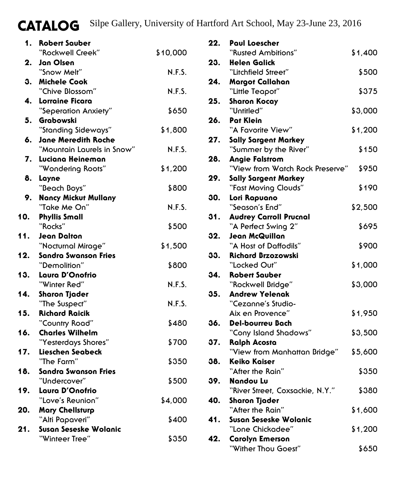## CATALOG Silpe Gallery, University of Hartford Art School, May 23-June 23, 2016

| 1.  | <b>Robert Sauber</b>                              |          |
|-----|---------------------------------------------------|----------|
|     | "Rockwell Creek"                                  | \$10,000 |
| 2.  | Jan Olsen                                         |          |
|     | "Snow Melt"                                       | N.F.S.   |
| 3.  | <b>Michele Cook</b>                               |          |
|     | "Chive Blossom"                                   | N.F.S.   |
| 4.  | Lorraine Ficara                                   |          |
|     | "Seperation Anxiety"                              | \$650    |
| 5.  | Grabowski                                         |          |
|     | "Standing Sideways"                               | \$1,800  |
| 6.  | Jane Meredith Roche<br>"Mountain Laurels in Snow" | N.F.S.   |
| 7.  | Luciana Heineman                                  |          |
|     | "Wondering Roots"                                 | \$1,200  |
| 8.  | Layne                                             |          |
|     | "Beach Boys"                                      | \$800    |
| 9.  | Nancy Mickut Mullany                              |          |
|     | "Take Me On"                                      | N.F.S.   |
| 10. | <b>Phyllis Small</b>                              |          |
|     | "Rocks"                                           | \$500    |
| 11. | Jean Dalton                                       |          |
|     | "Nocturnal Mirage"                                | \$1,500  |
| 12. | Sandra Swanson Fries                              |          |
|     | "Demolition"                                      | \$800    |
| 13. | Laura D'Onofrio                                   |          |
|     | "Winter Red"                                      | N.F.S.   |
| 14. | Sharon Tjader<br>"The Suspect"                    | N.F.S.   |
| 15. | <b>Richard Raicik</b>                             |          |
|     | "Country Road"                                    | \$480    |
| 16. | <b>Charles Wilhelm</b>                            |          |
|     | "Yesterdays Shores"                               | \$700    |
| 17. | Lieschen Seabeck                                  |          |
|     | "The Farm"                                        | \$350    |
| 18. | Sandra Swanson Fries                              |          |
|     | "Undercover"                                      | \$500    |
| 19. | Laura D'Onofrio                                   |          |
|     | "Love's Reunion"                                  | \$4,000  |
| 20. | <b>Mary Chellsturp</b>                            |          |
|     | "Alti Papaveri"                                   | \$400    |
| 21. | Susan Seseske Wolanic                             |          |
|     | "Winteer Tree"                                    | \$350    |

| 22. | <b>Paul Loescher</b>                                     |         |
|-----|----------------------------------------------------------|---------|
|     | "Rusted Ambitions"                                       | \$1,400 |
| 23. | <b>Helen Galick</b>                                      |         |
|     | "Litchfield Street"                                      | \$500   |
| 24. | <b>Margot Callahan</b>                                   |         |
|     | "Little Teapot"                                          | \$375   |
| 25. | <b>Sharon Kocay</b>                                      |         |
|     | "Untitled"                                               | \$3,000 |
| 26. | Pat Klein                                                |         |
|     | "A Favorite View"                                        | \$1,200 |
| 27. | <b>Sally Sargent Markey</b>                              |         |
|     | "Summer by the River"                                    | \$150   |
| 28. | <b>Angie Falstrom</b><br>"View from Watch Rock Preserve" |         |
| 29. |                                                          | \$950   |
|     | <b>Sally Sargent Markey</b><br>"Fast Moving Clouds"      | \$190   |
| 30. | Lori Rapuano                                             |         |
|     | "Season's End"                                           | \$2,500 |
| 31. | <b>Audrey Carroll Prucnal</b>                            |         |
|     | "A Perfect Swing 2"                                      | \$695   |
| 32. | Jean McQuillan                                           |         |
|     | "A Host of Daffodils"                                    | \$900   |
| 33. | <b>Richard Brzozowski</b>                                |         |
|     | "Locked Out"                                             | \$1,000 |
| 34. | <b>Robert Sauber</b>                                     |         |
|     | "Rockwell Bridge"                                        | \$3,000 |
| 35. | <b>Andrew Yelenak</b>                                    |         |
|     | "Cezanne's Studio-                                       |         |
|     | Aix en Provence"                                         | \$1,950 |
| 36. | <b>Del-bourreu Bach</b>                                  |         |
| 37. | "Cony Island Shadows"<br><b>Ralph Acosta</b>             | \$3,500 |
|     | "View from Manhattan Bridge"                             | \$5,600 |
| 38. | <b>Keiko Kaiser</b>                                      |         |
|     | "After the Rain"                                         | \$350   |
| 39. | Nandou Lu                                                |         |
|     | "River Street, Coxsackie, N.Y."                          | \$380   |
| 40. | Sharon Tjader                                            |         |
|     | "After the Rain"                                         | \$1,600 |
| 41. | Susan Seseske Wolanic                                    |         |
|     | "Lone Chickadee"                                         | \$1,200 |
| 42. | <b>Carolyn Emerson</b>                                   |         |
|     | "Wither Thou Goest"                                      | \$650   |